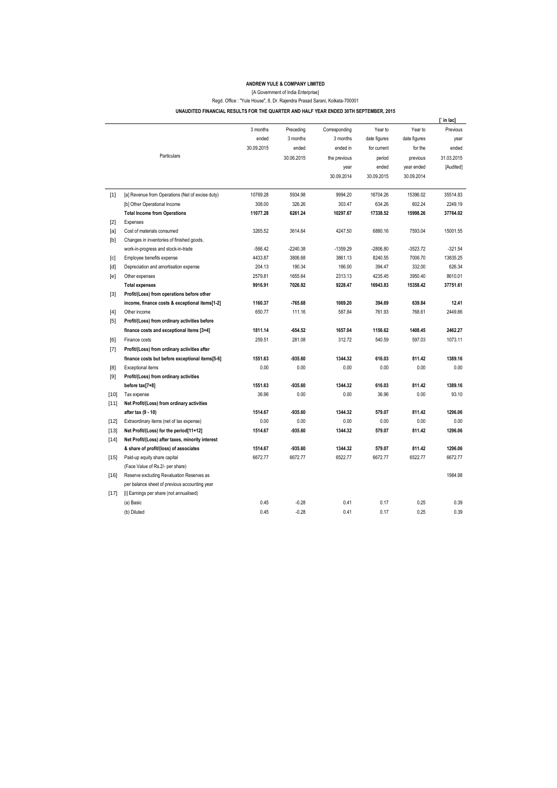## **ANDREW YULE & COMPANY LIMITED**

[A Government of India Enterprise]

Regd. Office : "Yule House", 8, Dr. Rajendra Prasad Sarani, Kolkata-700001

**UNAUDITED FINANCIAL RESULTS FOR THE QUARTER AND HALF YEAR ENDED 30TH SEPTEMBER, 2015** 

|        |                                                  |            |            |               |              |              | in lac]    |
|--------|--------------------------------------------------|------------|------------|---------------|--------------|--------------|------------|
|        |                                                  | 3 months   | Preceding  | Corresponding | Year to      | Year to      | Previous   |
|        |                                                  | ended      | 3 months   | 3 months      | date figures | date figures | year       |
|        |                                                  | 30.09.2015 | ended      | ended in      | for current  | for the      | ended      |
|        | Particulars                                      |            | 30.06.2015 | the previous  | period       | previous     | 31.03.2015 |
|        |                                                  |            |            | year          | ended        | year ended   | [Audited]  |
|        |                                                  |            |            | 30.09.2014    | 30.09.2015   | 30.09.2014   |            |
| $[1]$  | [a] Revenue from Operations (Net of excise duty) | 10769.28   | 5934.98    | 9994.20       | 16704.26     | 15396.02     | 35514.83   |
|        | [b] Other Operational Income                     | 308.00     | 326.26     | 303.47        | 634.26       | 602.24       | 2249.19    |
|        | <b>Total Income from Operations</b>              | 11077.28   | 6261.24    | 10297.67      | 17338.52     | 15998.26     | 37764.02   |
| $[2]$  | Expenses                                         |            |            |               |              |              |            |
| [a]    | Cost of materials consumed                       | 3265.52    | 3614.64    | 4247.50       | 6880.16      | 7593.04      | 15001.55   |
| [b]    | Changes in inventories of finished goods,        |            |            |               |              |              |            |
|        | work-in-progress and stock-in-trade              | $-566.42$  | -2240.38   | $-1359.29$    | -2806.80     | $-3523.72$   | $-321.54$  |
| [c]    | Employee benefits expense                        | 4433.87    | 3806.68    | 3861.13       | 8240.55      | 7006.70      | 13835.25   |
| [d]    | Depreciation and amortisation expense            | 204.13     | 190.34     | 166.00        | 394.47       | 332.00       | 626.34     |
| [e]    | Other expenses                                   | 2579.81    | 1655.64    | 2313.13       | 4235.45      | 3950.40      | 8610.01    |
|        | <b>Total expenses</b>                            | 9916.91    | 7026.92    | 9228.47       | 16943.83     | 15358.42     | 37751.61   |
| $[3]$  | Profit/(Loss) from operations before other       |            |            |               |              |              |            |
|        | income, finance costs & exceptional items[1-2]   | 1160.37    | $-765.68$  | 1069.20       | 394.69       | 639.84       | 12.41      |
| $[4]$  | Other income                                     | 650.77     | 111.16     | 587.84        | 761.93       | 768.61       | 2449.86    |
| [5]    | Profit/(Loss) from ordinary activities before    |            |            |               |              |              |            |
|        | finance costs and exceptional items [3+4]        | 1811.14    | $-654.52$  | 1657.04       | 1156.62      | 1408.45      | 2462.27    |
| [6]    | Finance costs                                    | 259.51     | 281.08     | 312.72        | 540.59       | 597.03       | 1073.11    |
| $[7]$  | Profit/(Loss) from ordinary activities after     |            |            |               |              |              |            |
|        | finance costs but before exceptional items[5-6]  | 1551.63    | -935.60    | 1344.32       | 616.03       | 811.42       | 1389.16    |
| [8]    | Exceptional items                                | 0.00       | 0.00       | 0.00          | 0.00         | 0.00         | 0.00       |
| [9]    | Profit/(Loss) from ordinary activities           |            |            |               |              |              |            |
|        | before tax[7+8]                                  | 1551.63    | $-935.60$  | 1344.32       | 616.03       | 811.42       | 1389.16    |
| $[10]$ | Tax expense                                      | 36.96      | 0.00       | 0.00          | 36.96        | 0.00         | 93.10      |
| $[11]$ | Net Profit/(Loss) from ordinary activities       |            |            |               |              |              |            |
|        | after tax (9 - 10)                               | 1514.67    | -935.60    | 1344.32       | 579.07       | 811.42       | 1296.06    |
| $[12]$ | Extraordinary items (net of tax expense)         | 0.00       | 0.00       | 0.00          | 0.00         | 0.00         | 0.00       |
| $[13]$ | Net Profit/(Loss) for the period[11+12]          | 1514.67    | $-935.60$  | 1344.32       | 579.07       | 811.42       | 1296.06    |
| $[14]$ | Net Profit/(Loss) after taxes, minority interest |            |            |               |              |              |            |
|        | & share of profit/(loss) of associates           | 1514.67    | $-935.60$  | 1344.32       | 579.07       | 811.42       | 1296.06    |
| $[15]$ | Paid-up equity share capital                     | 6672.77    | 6672.77    | 6522.77       | 6672.77      | 6522.77      | 6672.77    |
|        | (Face Value of Rs.2/- per share)                 |            |            |               |              |              |            |
| $[16]$ | Reserve excluding Revaluation Reserves as        |            |            |               |              |              | 1984.98    |
|        | per balance sheet of previous accounting year    |            |            |               |              |              |            |
| $[17]$ | [i] Earnings per share (not annualised)          |            |            |               |              |              |            |
|        | (a) Basic                                        | 0.45       | $-0.28$    | 0.41          | 0.17         | 0.25         | 0.39       |
|        | (b) Diluted                                      | 0.45       | $-0.28$    | 0.41          | 0.17         | 0.25         | 0.39       |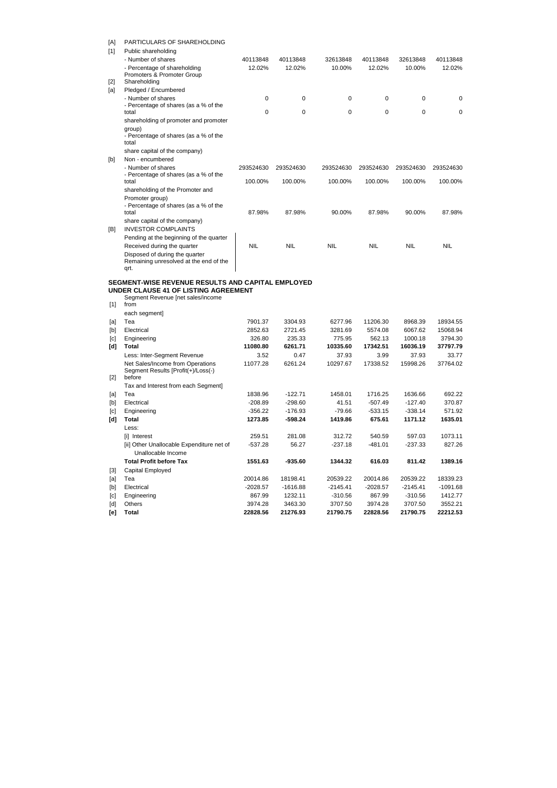| [A]<br>$[1]$                                                                                                                                                                                 | PARTICULARS OF SHAREHOLDING<br>Public shareholding<br>- Number of shares                          | 40113848               | 40113848               | 32613848            | 40113848               | 32613848               | 40113848            |  |
|----------------------------------------------------------------------------------------------------------------------------------------------------------------------------------------------|---------------------------------------------------------------------------------------------------|------------------------|------------------------|---------------------|------------------------|------------------------|---------------------|--|
| $[2]$                                                                                                                                                                                        | - Percentage of shareholding<br>Promoters & Promoter Group<br>Shareholding                        | 12.02%                 | 12.02%                 | 10.00%              | 12.02%                 | 10.00%                 | 12.02%              |  |
| [a]                                                                                                                                                                                          | Pledged / Encumbered                                                                              |                        |                        |                     |                        |                        |                     |  |
|                                                                                                                                                                                              | - Number of shares                                                                                | 0                      | 0                      | 0                   | 0                      | 0                      | 0                   |  |
|                                                                                                                                                                                              | - Percentage of shares (as a % of the<br>total                                                    | 0                      | 0                      | 0                   | 0                      | 0                      | 0                   |  |
|                                                                                                                                                                                              | shareholding of promoter and promoter<br>group)<br>- Percentage of shares (as a % of the<br>total |                        |                        |                     |                        |                        |                     |  |
|                                                                                                                                                                                              | share capital of the company)                                                                     |                        |                        |                     |                        |                        |                     |  |
| [b]                                                                                                                                                                                          | Non - encumbered<br>- Number of shares                                                            | 293524630              | 293524630              | 293524630           | 293524630              | 293524630              | 293524630           |  |
|                                                                                                                                                                                              | - Percentage of shares (as a % of the<br>total<br>shareholding of the Promoter and                | 100.00%                | 100.00%                | 100.00%             | 100.00%                | 100.00%                | 100.00%             |  |
|                                                                                                                                                                                              | Promoter group)<br>- Percentage of shares (as a % of the                                          |                        |                        |                     |                        |                        |                     |  |
|                                                                                                                                                                                              | total<br>share capital of the company)                                                            | 87.98%                 | 87.98%                 | 90.00%              | 87.98%                 | 90.00%                 | 87.98%              |  |
| [B]                                                                                                                                                                                          | <b>INVESTOR COMPLAINTS</b><br>Pending at the beginning of the quarter                             |                        |                        |                     |                        |                        |                     |  |
|                                                                                                                                                                                              | Received during the quarter                                                                       | <b>NIL</b>             | <b>NIL</b>             | <b>NIL</b>          | <b>NIL</b>             | <b>NIL</b>             | <b>NIL</b>          |  |
|                                                                                                                                                                                              | Disposed of during the quarter<br>Remaining unresolved at the end of the<br>qrt.                  |                        |                        |                     |                        |                        |                     |  |
|                                                                                                                                                                                              |                                                                                                   |                        |                        |                     |                        |                        |                     |  |
|                                                                                                                                                                                              | SEGMENT-WISE REVENUE RESULTS AND CAPITAL EMPLOYED<br>UNDER CLAUSE 41 OF LISTING AGREEMENT         |                        |                        |                     |                        |                        |                     |  |
| $[1]$                                                                                                                                                                                        | Segment Revenue [net sales/income<br>from                                                         |                        |                        |                     |                        |                        |                     |  |
|                                                                                                                                                                                              | each segment]                                                                                     |                        |                        |                     |                        |                        |                     |  |
| [a]                                                                                                                                                                                          | Tea                                                                                               | 7901.37                | 3304.93                | 6277.96             | 11206.30               | 8968.39                | 18934.55            |  |
| [b]                                                                                                                                                                                          | Electrical                                                                                        | 2852.63                | 2721.45                | 3281.69             | 5574.08                | 6067.62                | 15068.94            |  |
| [c]<br>[d]                                                                                                                                                                                   | Engineering<br><b>Total</b>                                                                       | 326.80<br>11080.80     | 235.33<br>6261.71      | 775.95<br>10335.60  | 562.13<br>17342.51     | 1000.18<br>16036.19    | 3794.30<br>37797.79 |  |
|                                                                                                                                                                                              | Less: Inter-Segment Revenue                                                                       | 3.52                   | 0.47                   | 37.93               | 3.99                   | 37.93                  | 33.77               |  |
|                                                                                                                                                                                              | Net Sales/Income from Operations<br>Segment Results [Profit(+)/Loss(-)                            | 11077.28               | 6261.24                | 10297.67            | 17338.52               | 15998.26               | 37764.02            |  |
| $[2]$                                                                                                                                                                                        | before                                                                                            |                        |                        |                     |                        |                        |                     |  |
|                                                                                                                                                                                              | Tax and Interest from each Segment]                                                               |                        |                        |                     |                        |                        |                     |  |
| [a]                                                                                                                                                                                          | Tea                                                                                               | 1838.96                | $-122.71$              | 1458.01             | 1716.25                | 1636.66                | 692.22              |  |
| $[b] % \begin{center} % \includegraphics[width=\linewidth]{imagesSupplemental_3.png} % \end{center} % \caption { % Our method can be used for the image. % } % \label{fig:example} %$<br>[c] | Electrical<br>Engineering                                                                         | $-208.89$<br>$-356.22$ | $-298.60$<br>$-176.93$ | 41.51<br>$-79.66$   | $-507.49$<br>$-533.15$ | $-127.40$<br>$-338.14$ | 370.87<br>571.92    |  |
| [d]                                                                                                                                                                                          | <b>Total</b><br>Less:                                                                             | 1273.85                | $-598.24$              | 1419.86             | 675.61                 | 1171.12                | 1635.01             |  |
|                                                                                                                                                                                              | [i] Interest                                                                                      | 259.51                 | 281.08                 | 312.72              | 540.59                 | 597.03                 | 1073.11             |  |
|                                                                                                                                                                                              | [ii] Other Unallocable Expenditure net of<br>Unallocable Income                                   | $-537.28$              | 56.27                  | $-237.18$           | $-481.01$              | $-237.33$              | 827.26              |  |
|                                                                                                                                                                                              | <b>Total Profit before Tax</b>                                                                    | 1551.63                | $-935.60$              | 1344.32             | 616.03                 | 811.42                 | 1389.16             |  |
| $[3]$                                                                                                                                                                                        | Capital Employed                                                                                  |                        |                        |                     |                        |                        |                     |  |
| [a]                                                                                                                                                                                          | Tea                                                                                               | 20014.86               | 18198.41               | 20539.22            | 20014.86               | 20539.22               | 18339.23            |  |
| $[b] % \begin{center} % \includegraphics[width=\linewidth]{imagesSupplemental_3.png} % \end{center} % \caption { % Our method can be used for the image. % } % \label{fig:example} %$        | Electrical                                                                                        | $-2028.57$             | $-1616.88$             | $-2145.41$          | $-2028.57$             | $-2145.41$             | $-1091.68$          |  |
| [c]                                                                                                                                                                                          | Engineering                                                                                       | 867.99                 | 1232.11                | $-310.56$           | 867.99                 | $-310.56$              | 1412.77             |  |
| [d]<br>[e]                                                                                                                                                                                   | <b>Others</b><br><b>Total</b>                                                                     | 3974.28<br>22828.56    | 3463.30<br>21276.93    | 3707.50<br>21790.75 | 3974.28<br>22828.56    | 3707.50<br>21790.75    | 3552.21<br>22212.53 |  |